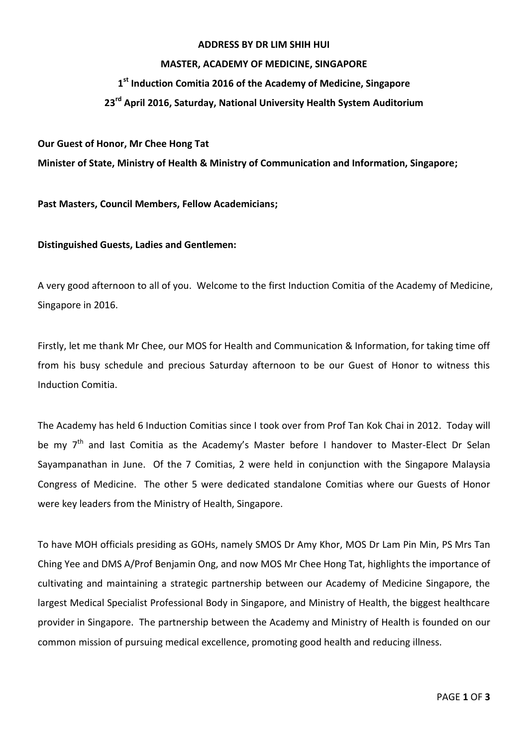### **ADDRESS BY DR LIM SHIH HUI**

## **MASTER, ACADEMY OF MEDICINE, SINGAPORE**

# **1 st Induction Comitia 2016 of the Academy of Medicine, Singapore**

# **23rd April 2016, Saturday, National University Health System Auditorium**

### **Our Guest of Honor, Mr Chee Hong Tat**

**Minister of State, Ministry of Health & Ministry of Communication and Information, Singapore;**

**Past Masters, Council Members, Fellow Academicians;**

## **Distinguished Guests, Ladies and Gentlemen:**

A very good afternoon to all of you. Welcome to the first Induction Comitia of the Academy of Medicine, Singapore in 2016.

Firstly, let me thank Mr Chee, our MOS for Health and Communication & Information, for taking time off from his busy schedule and precious Saturday afternoon to be our Guest of Honor to witness this Induction Comitia.

The Academy has held 6 Induction Comitias since I took over from Prof Tan Kok Chai in 2012. Today will be my 7<sup>th</sup> and last Comitia as the Academy's Master before I handover to Master-Elect Dr Selan Sayampanathan in June. Of the 7 Comitias, 2 were held in conjunction with the Singapore Malaysia Congress of Medicine. The other 5 were dedicated standalone Comitias where our Guests of Honor were key leaders from the Ministry of Health, Singapore.

To have MOH officials presiding as GOHs, namely SMOS Dr Amy Khor, MOS Dr Lam Pin Min, PS Mrs Tan Ching Yee and DMS A/Prof Benjamin Ong, and now MOS Mr Chee Hong Tat, highlights the importance of cultivating and maintaining a strategic partnership between our Academy of Medicine Singapore, the largest Medical Specialist Professional Body in Singapore, and Ministry of Health, the biggest healthcare provider in Singapore. The partnership between the Academy and Ministry of Health is founded on our common mission of pursuing medical excellence, promoting good health and reducing illness.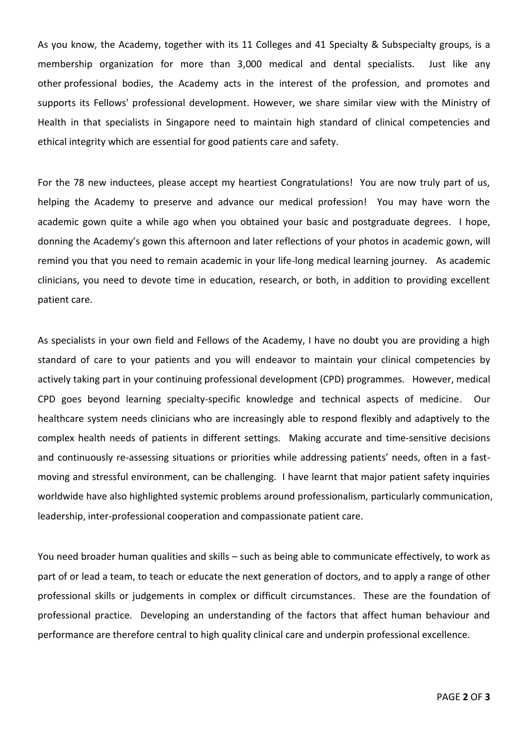As you know, the Academy, together with its 11 Colleges and 41 Specialty & Subspecialty groups, is a membership organization for more than 3,000 medical and dental specialists. Just like any other professional bodies, the Academy acts in the interest of the profession, and promotes and supports its Fellows' professional development. However, we share similar view with the Ministry of Health in that specialists in Singapore need to maintain high standard of clinical competencies and ethical integrity which are essential for good patients care and safety.

For the 78 new inductees, please accept my heartiest Congratulations! You are now truly part of us, helping the Academy to preserve and advance our medical profession! You may have worn the academic gown quite a while ago when you obtained your basic and postgraduate degrees. I hope, donning the Academy's gown this afternoon and later reflections of your photos in academic gown, will remind you that you need to remain academic in your life-long medical learning journey. As academic clinicians, you need to devote time in education, research, or both, in addition to providing excellent patient care.

As specialists in your own field and Fellows of the Academy, I have no doubt you are providing a high standard of care to your patients and you will endeavor to maintain your clinical competencies by actively taking part in your continuing professional development (CPD) programmes. However, medical CPD goes beyond learning specialty-specific knowledge and technical aspects of medicine. Our healthcare system needs clinicians who are increasingly able to respond flexibly and adaptively to the complex health needs of patients in different settings. Making accurate and time-sensitive decisions and continuously re-assessing situations or priorities while addressing patients' needs, often in a fastmoving and stressful environment, can be challenging. I have learnt that major patient safety inquiries worldwide have also highlighted systemic problems around professionalism, particularly communication, leadership, inter-professional cooperation and compassionate patient care.

You need broader human qualities and skills – such as being able to communicate effectively, to work as part of or lead a team, to teach or educate the next generation of doctors, and to apply a range of other professional skills or judgements in complex or difficult circumstances. These are the foundation of professional practice. Developing an understanding of the factors that affect human behaviour and performance are therefore central to high quality clinical care and underpin professional excellence.